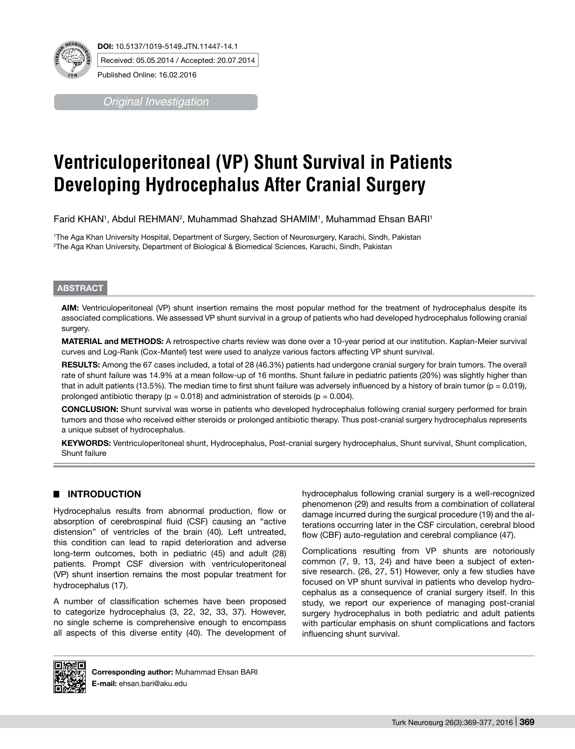

**DOI:** 10.5137/1019-5149.JTN.11447-14.1 Received: 05.05.2014 / Accepted: 20.07.2014

Published Online: 16.02.2016

*Original Investigation*

# **Ventriculoperitoneal (VP) Shunt Survival in Patients Developing Hydrocephalus After Cranial Surgery**

Farid KHAN', Abdul REHMAN<sup>2</sup>, Muhammad Shahzad SHAMIM', Muhammad Ehsan BARI'

1 The Aga Khan University Hospital, Department of Surgery, Section of Neurosurgery, Karachi, Sindh, Pakistan 2 The Aga Khan University, Department of Biological & Biomedical Sciences, Karachi, Sindh, Pakistan

## **ABSTRACT**

**AIm:** Ventriculoperitoneal (VP) shunt insertion remains the most popular method for the treatment of hydrocephalus despite its associated complications. We assessed VP shunt survival in a group of patients who had developed hydrocephalus following cranial surgery.

**MaterIal and Methods:** A retrospective charts review was done over a 10-year period at our institution. Kaplan-Meier survival curves and Log-Rank (Cox-Mantel) test were used to analyze various factors affecting VP shunt survival.

RESULTS: Among the 67 cases included, a total of 28 (46.3%) patients had undergone cranial surgery for brain tumors. The overall rate of shunt failure was 14.9% at a mean follow-up of 16 months. Shunt failure in pediatric patients (20%) was slightly higher than that in adult patients (13.5%). The median time to first shunt failure was adversely influenced by a history of brain tumor ( $p = 0.019$ ), prolonged antibiotic therapy ( $p = 0.018$ ) and administration of steroids ( $p = 0.004$ ).

**ConclusIon:** Shunt survival was worse in patients who developed hydrocephalus following cranial surgery performed for brain tumors and those who received either steroids or prolonged antibiotic therapy. Thus post-cranial surgery hydrocephalus represents a unique subset of hydrocephalus.

**Keywords:** Ventriculoperitoneal shunt, Hydrocephalus, Post-cranial surgery hydrocephalus, Shunt survival, Shunt complication, Shunt failure

# █ **Introduction**

Hydrocephalus results from abnormal production, flow or absorption of cerebrospinal fluid (CSF) causing an "active distension" of ventricles of the brain (40). Left untreated, this condition can lead to rapid deterioration and adverse long-term outcomes, both in pediatric (45) and adult (28) patients. Prompt CSF diversion with ventriculoperitoneal (VP) shunt insertion remains the most popular treatment for hydrocephalus (17).

A number of classification schemes have been proposed to categorize hydrocephalus (3, 22, 32, 33, 37). However, no single scheme is comprehensive enough to encompass all aspects of this diverse entity (40). The development of hydrocephalus following cranial surgery is a well-recognized phenomenon (29) and results from a combination of collateral damage incurred during the surgical procedure (19) and the alterations occurring later in the CSF circulation, cerebral blood flow (CBF) auto-regulation and cerebral compliance (47).

Complications resulting from VP shunts are notoriously common (7, 9, 13, 24) and have been a subject of extensive research. (26, 27, 51) However, only a few studies have focused on VP shunt survival in patients who develop hydrocephalus as a consequence of cranial surgery itself. In this study, we report our experience of managing post-cranial surgery hydrocephalus in both pediatric and adult patients with particular emphasis on shunt complications and factors influencing shunt survival.



Corresponding author: Muhammad Ehsan BARI **E-mail:** ehsan.bari@aku.edu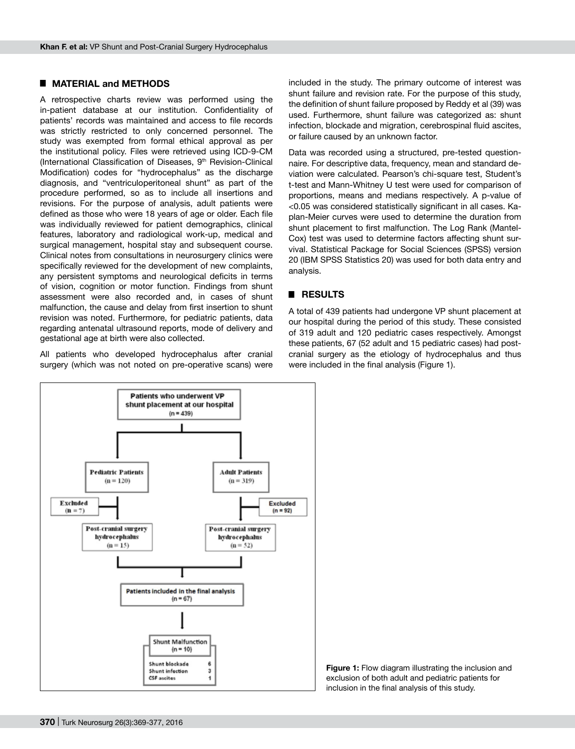## █ **Material and Methods**

A retrospective charts review was performed using the in-patient database at our institution. Confidentiality of patients' records was maintained and access to file records was strictly restricted to only concerned personnel. The study was exempted from formal ethical approval as per the institutional policy. Files were retrieved using ICD-9-CM (International Classification of Diseases, 9<sup>th</sup> Revision-Clinical Modification) codes for "hydrocephalus" as the discharge diagnosis, and "ventriculoperitoneal shunt" as part of the procedure performed, so as to include all insertions and revisions. For the purpose of analysis, adult patients were defined as those who were 18 years of age or older. Each file was individually reviewed for patient demographics, clinical features, laboratory and radiological work-up, medical and surgical management, hospital stay and subsequent course. Clinical notes from consultations in neurosurgery clinics were specifically reviewed for the development of new complaints, any persistent symptoms and neurological deficits in terms of vision, cognition or motor function. Findings from shunt assessment were also recorded and, in cases of shunt malfunction, the cause and delay from first insertion to shunt revision was noted. Furthermore, for pediatric patients, data regarding antenatal ultrasound reports, mode of delivery and gestational age at birth were also collected.

All patients who developed hydrocephalus after cranial surgery (which was not noted on pre-operative scans) were included in the study. The primary outcome of interest was shunt failure and revision rate. For the purpose of this study, the definition of shunt failure proposed by Reddy et al (39) was used. Furthermore, shunt failure was categorized as: shunt infection, blockade and migration, cerebrospinal fluid ascites, or failure caused by an unknown factor.

Data was recorded using a structured, pre-tested questionnaire. For descriptive data, frequency, mean and standard deviation were calculated. Pearson's chi-square test, Student's t-test and Mann-Whitney U test were used for comparison of proportions, means and medians respectively. A p-value of <0.05 was considered statistically significant in all cases. Kaplan-Meier curves were used to determine the duration from shunt placement to first malfunction. The Log Rank (Mantel-Cox) test was used to determine factors affecting shunt survival. Statistical Package for Social Sciences (SPSS) version 20 (IBM SPSS Statistics 20) was used for both data entry and analysis.

## █ **Results**

A total of 439 patients had undergone VP shunt placement at our hospital during the period of this study. These consisted of 319 adult and 120 pediatric cases respectively. Amongst these patients, 67 (52 adult and 15 pediatric cases) had postcranial surgery as the etiology of hydrocephalus and thus were included in the final analysis (Figure 1).



**Figure 1:** Flow diagram illustrating the inclusion and exclusion of both adult and pediatric patients for inclusion in the final analysis of this study.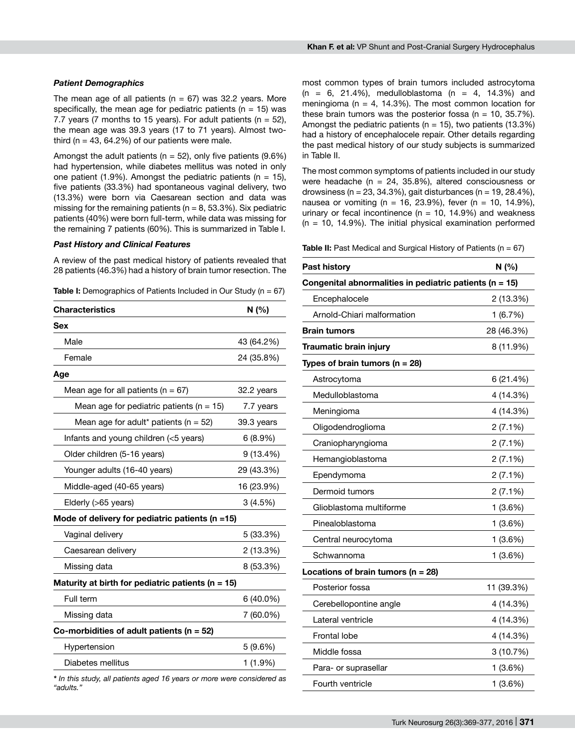#### *Patient Demographics*

The mean age of all patients ( $n = 67$ ) was 32.2 years. More specifically, the mean age for pediatric patients ( $n = 15$ ) was 7.7 years (7 months to 15 years). For adult patients ( $n = 52$ ), the mean age was 39.3 years (17 to 71 years). Almost twothird ( $n = 43$ , 64.2%) of our patients were male.

Amongst the adult patients ( $n = 52$ ), only five patients (9.6%) had hypertension, while diabetes mellitus was noted in only one patient  $(1.9\%)$ . Amongst the pediatric patients  $(n = 15)$ , five patients (33.3%) had spontaneous vaginal delivery, two (13.3%) were born via Caesarean section and data was missing for the remaining patients ( $n = 8$ , 53.3%). Six pediatric patients (40%) were born full-term, while data was missing for the remaining 7 patients (60%). This is summarized in Table I.

## *Past History and Clinical Features*

A review of the past medical history of patients revealed that 28 patients (46.3%) had a history of brain tumor resection. The

**Table I:** Demographics of Patients Included in Our Study (n = 67)

| <b>Characteristics</b>                                | N(% )       |
|-------------------------------------------------------|-------------|
| Sex                                                   |             |
| Male                                                  | 43 (64.2%)  |
| Female                                                | 24 (35.8%)  |
| Age                                                   |             |
| Mean age for all patients ( $n = 67$ )                | 32.2 years  |
| Mean age for pediatric patients ( $n = 15$ )          | 7.7 years   |
| Mean age for adult* patients ( $n = 52$ )             | 39.3 years  |
| Infants and young children (<5 years)                 | 6(8.9%)     |
| Older children (5-16 years)                           | 9(13.4%)    |
| Younger adults (16-40 years)                          | 29 (43.3%)  |
| Middle-aged (40-65 years)                             | 16 (23.9%)  |
| Elderly (>65 years)                                   | 3(4.5%)     |
| Mode of delivery for pediatric patients ( $n = 15$ )  |             |
| Vaginal delivery                                      | 5 (33.3%)   |
| Caesarean delivery                                    | 2(13.3%)    |
| Missing data                                          | 8 (53.3%)   |
| Maturity at birth for pediatric patients ( $n = 15$ ) |             |
| Full term                                             | $6(40.0\%)$ |
| Missing data                                          | 7 (60.0%)   |
| Co-morbidities of adult patients ( $n = 52$ )         |             |
| Hypertension                                          | 5(9.6%)     |
| Diabetes mellitus                                     | 1 (1.9%)    |
|                                                       |             |

*\* In this study, all patients aged 16 years or more were considered as "adults."*

most common types of brain tumors included astrocytoma  $(n = 6, 21.4\%),$  medulloblastoma  $(n = 4, 14.3\%)$  and meningioma ( $n = 4$ , 14.3%). The most common location for these brain tumors was the posterior fossa ( $n = 10$ , 35.7%). Amongst the pediatric patients ( $n = 15$ ), two patients (13.3%) had a history of encephalocele repair. Other details regarding the past medical history of our study subjects is summarized in Table II.

The most common symptoms of patients included in our study were headache (n =  $24$ , 35.8%), altered consciousness or drowsiness (n = 23, 34.3%), gait disturbances (n = 19, 28.4%), nausea or vomiting (n = 16, 23.9%), fever (n = 10, 14.9%), urinary or fecal incontinence ( $n = 10$ , 14.9%) and weakness  $(n = 10, 14.9\%)$ . The initial physical examination performed

**Table II:** Past Medical and Surgical History of Patients (n = 67)

| Congenital abnormalities in pediatric patients (n = 15) |            |
|---------------------------------------------------------|------------|
|                                                         |            |
| Encephalocele                                           | 2 (13.3%)  |
| Arnold-Chiari malformation                              | 1(6.7%)    |
| <b>Brain tumors</b>                                     | 28 (46.3%) |
| <b>Traumatic brain injury</b>                           | 8 (11.9%)  |
| Types of brain tumors ( $n = 28$ )                      |            |
| Astrocytoma                                             | 6(21.4%)   |
| Medulloblastoma                                         | 4 (14.3%)  |
| Meningioma                                              | 4 (14.3%)  |
| Oligodendroglioma                                       | 2(7.1%)    |
| Craniopharyngioma                                       | 2(7.1%)    |
| Hemangioblastoma                                        | 2(7.1%)    |
| Ependymoma                                              | 2 (7.1%)   |
| Dermoid tumors                                          | 2(7.1%)    |
| Glioblastoma multiforme                                 | 1(3.6%)    |
| Pinealoblastoma                                         | 1(3.6%)    |
| Central neurocytoma                                     | 1(3.6%)    |
| Schwannoma                                              | 1 (3.6%)   |
| Locations of brain tumors ( $n = 28$ )                  |            |
| Posterior fossa                                         | 11 (39.3%) |
| Cerebellopontine angle                                  | 4 (14.3%)  |
| Lateral ventricle                                       | 4 (14.3%)  |
| <b>Frontal lobe</b>                                     | 4 (14.3%)  |
| Middle fossa                                            | 3(10.7%)   |
| Para- or suprasellar                                    | 1(3.6%)    |
| Fourth ventricle                                        | 1 (3.6%)   |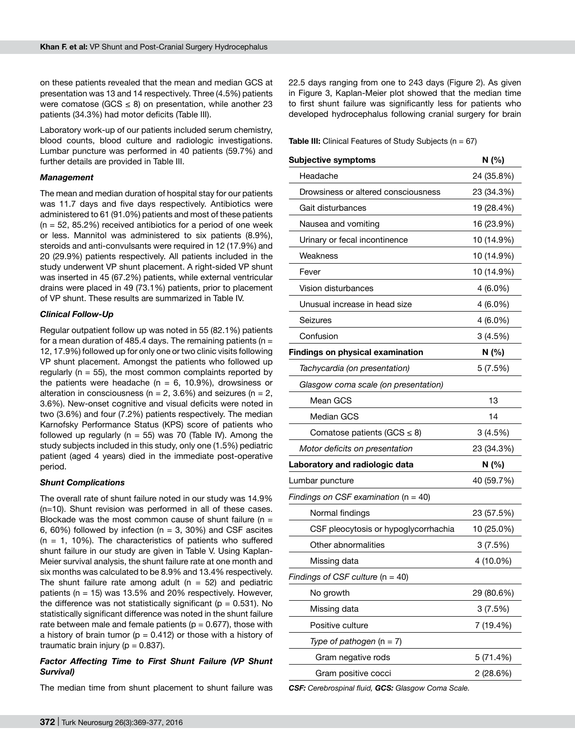on these patients revealed that the mean and median GCS at presentation was 13 and 14 respectively. Three (4.5%) patients were comatose (GCS  $\leq$  8) on presentation, while another 23 patients (34.3%) had motor deficits (Table III).

Laboratory work-up of our patients included serum chemistry, blood counts, blood culture and radiologic investigations. Lumbar puncture was performed in 40 patients (59.7%) and further details are provided in Table III.

#### *Management*

The mean and median duration of hospital stay for our patients was 11.7 days and five days respectively. Antibiotics were administered to 61 (91.0%) patients and most of these patients  $(n = 52, 85.2\%)$  received antibiotics for a period of one week or less. Mannitol was administered to six patients (8.9%), steroids and anti-convulsants were required in 12 (17.9%) and 20 (29.9%) patients respectively. All patients included in the study underwent VP shunt placement. A right-sided VP shunt was inserted in 45 (67.2%) patients, while external ventricular drains were placed in 49 (73.1%) patients, prior to placement of VP shunt. These results are summarized in Table IV.

#### *Clinical Follow-Up*

Regular outpatient follow up was noted in 55 (82.1%) patients for a mean duration of 485.4 days. The remaining patients ( $n =$ 12, 17.9%) followed up for only one or two clinic visits following VP shunt placement. Amongst the patients who followed up regularly ( $n = 55$ ), the most common complaints reported by the patients were headache ( $n = 6$ , 10.9%), drowsiness or alteration in consciousness ( $n = 2$ , 3.6%) and seizures ( $n = 2$ , 3.6%). New-onset cognitive and visual deficits were noted in two (3.6%) and four (7.2%) patients respectively. The median Karnofsky Performance Status (KPS) score of patients who followed up regularly ( $n = 55$ ) was 70 (Table IV). Among the study subjects included in this study, only one (1.5%) pediatric patient (aged 4 years) died in the immediate post-operative period.

#### *Shunt Complications*

The overall rate of shunt failure noted in our study was 14.9% (n=10). Shunt revision was performed in all of these cases. Blockade was the most common cause of shunt failure ( $n =$ 6, 60%) followed by infection ( $n = 3$ , 30%) and CSF ascites  $(n = 1, 10\%)$ . The characteristics of patients who suffered shunt failure in our study are given in Table V. Using Kaplan-Meier survival analysis, the shunt failure rate at one month and six months was calculated to be 8.9% and 13.4% respectively. The shunt failure rate among adult  $(n = 52)$  and pediatric patients (n = 15) was 13.5% and 20% respectively. However, the difference was not statistically significant ( $p = 0.531$ ). No statistically significant difference was noted in the shunt failure rate between male and female patients ( $p = 0.677$ ), those with a history of brain tumor ( $p = 0.412$ ) or those with a history of traumatic brain injury ( $p = 0.837$ ).

## *Factor Affecting Time to First Shunt Failure (VP Shunt Survival)*

The median time from shunt placement to shunt failure was

22.5 days ranging from one to 243 days (Figure 2). As given in Figure 3, Kaplan-Meier plot showed that the median time to first shunt failure was significantly less for patients who developed hydrocephalus following cranial surgery for brain

**Table III:** Clinical Features of Study Subjects (n = 67)

| <b>Subjective symptoms</b>               | N (%)      |  |
|------------------------------------------|------------|--|
| Headache                                 | 24 (35.8%) |  |
| Drowsiness or altered consciousness      | 23 (34.3%) |  |
| Gait disturbances                        | 19 (28.4%) |  |
| Nausea and vomiting                      | 16 (23.9%) |  |
| Urinary or fecal incontinence            | 10 (14.9%) |  |
| Weakness                                 | 10 (14.9%) |  |
| Fever                                    | 10 (14.9%) |  |
| Vision disturbances                      | 4 (6.0%)   |  |
| Unusual increase in head size            | 4 (6.0%)   |  |
| Seizures                                 | 4 (6.0%)   |  |
| Confusion                                | 3(4.5%)    |  |
| <b>Findings on physical examination</b>  | N (%)      |  |
| Tachycardia (on presentation)            | 5(7.5%)    |  |
| Glasgow coma scale (on presentation)     |            |  |
| Mean GCS                                 | 13         |  |
| <b>Median GCS</b>                        | 14         |  |
| Comatose patients (GCS $\leq$ 8)         | 3(4.5%)    |  |
| Motor deficits on presentation           | 23 (34.3%) |  |
| Laboratory and radiologic data           | N (%)      |  |
| Lumbar puncture                          | 40 (59.7%) |  |
| Findings on CSF examination ( $n = 40$ ) |            |  |
| Normal findings                          | 23 (57.5%) |  |
| CSF pleocytosis or hypoglycorrhachia     | 10 (25.0%) |  |
| Other abnormalities                      | 3(7.5%)    |  |
| Missing data                             | 4 (10.0%)  |  |
| Findings of CSF culture $(n = 40)$       |            |  |
| No growth                                | 29 (80.6%) |  |
| Missing data                             | 3(7.5%)    |  |
| Positive culture                         | 7 (19.4%)  |  |
| Type of pathogen $(n = 7)$               |            |  |
| Gram negative rods                       | 5 (71.4%)  |  |
| Gram positive cocci                      | 2 (28.6%)  |  |

*CSF: Cerebrospinal fluid, GCS: Glasgow Coma Scale.*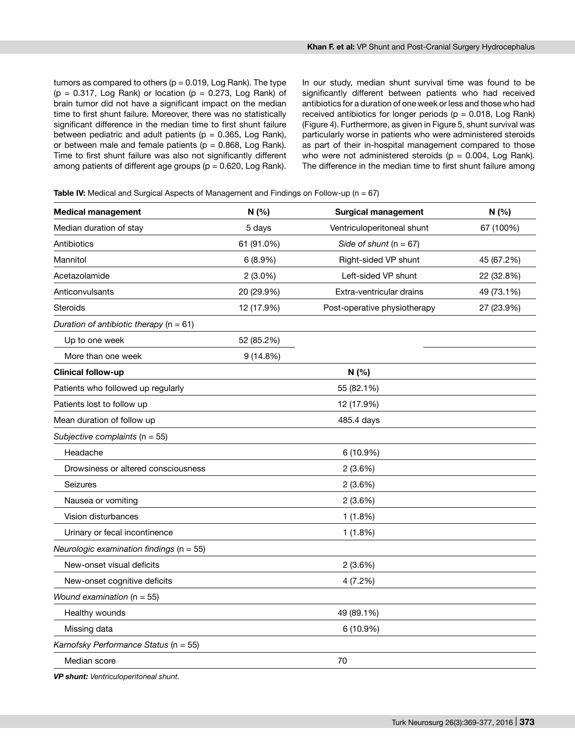tumors as compared to others  $(p = 0.019, \text{Log Rank})$ . The type  $(p = 0.317,$  Log Rank) or location  $(p = 0.273,$  Log Rank) of brain tumor did not have a significant impact on the median time to first shunt failure. Moreover, there was no statistically significant difference in the median time to first shunt failure between pediatric and adult patients ( $p = 0.365$ , Log Rank), or between male and female patients ( $p = 0.868$ , Log Rank). Time to first shunt failure was also not significantly different among patients of different age groups ( $p = 0.620$ , Log Rank). In our study, median shunt survival time was found to be significantly different between patients who had received antibiotics for a duration of one week or less and those who had received antibiotics for longer periods ( $p = 0.018$ , Log Rank) (Figure 4). Furthermore, as given in Figure 5, shunt survival was particularly worse in patients who were administered steroids as part of their in-hospital management compared to those who were not administered steroids ( $p = 0.004$ , Log Rank). The difference in the median time to first shunt failure among

**Table IV:** Medical and Surgical Aspects of Management and Findings on Follow-up (n = 67)

| <b>Medical management</b>                    | N(% )                                      | <b>Surgical management</b> | N(% )      |
|----------------------------------------------|--------------------------------------------|----------------------------|------------|
| Median duration of stay                      | 5 days                                     | Ventriculoperitoneal shunt | 67 (100%)  |
| Antibiotics                                  | 61 (91.0%)                                 | Side of shunt $(n = 67)$   |            |
| Mannitol                                     | 6(8.9%)                                    | Right-sided VP shunt       | 45 (67.2%) |
| Acetazolamide                                | $2(3.0\%)$                                 | Left-sided VP shunt        | 22 (32.8%) |
| Anticonvulsants                              | 20 (29.9%)                                 | Extra-ventricular drains   | 49 (73.1%) |
| Steroids                                     | 12 (17.9%)<br>Post-operative physiotherapy |                            | 27 (23.9%) |
| Duration of antibiotic therapy ( $n = 61$ )  |                                            |                            |            |
| Up to one week                               | 52 (85.2%)                                 |                            |            |
| More than one week                           | 9(14.8%)                                   |                            |            |
| <b>Clinical follow-up</b>                    |                                            | N(% )                      |            |
| Patients who followed up regularly           |                                            | 55 (82.1%)                 |            |
| Patients lost to follow up                   |                                            | 12 (17.9%)                 |            |
| Mean duration of follow up                   |                                            | 485.4 days                 |            |
| Subjective complaints ( $n = 55$ )           |                                            |                            |            |
| Headache                                     |                                            | 6 (10.9%)                  |            |
| Drowsiness or altered consciousness          |                                            | 2(3.6%)                    |            |
| Seizures                                     |                                            | 2(3.6%)                    |            |
| Nausea or vomiting                           | 2(3.6%)                                    |                            |            |
| Vision disturbances                          | 1(1.8%)                                    |                            |            |
| Urinary or fecal incontinence                |                                            | 1(1.8%)                    |            |
| Neurologic examination findings ( $n = 55$ ) |                                            |                            |            |
| New-onset visual deficits                    |                                            | 2(3.6%)                    |            |
| New-onset cognitive deficits                 |                                            | 4(7.2%)                    |            |
| Wound examination ( $n = 55$ )               |                                            |                            |            |
| Healthy wounds                               |                                            | 49 (89.1%)                 |            |
| Missing data                                 | 6 (10.9%)                                  |                            |            |
| Karnofsky Performance Status (n = 55)        |                                            |                            |            |
| Median score                                 |                                            | 70                         |            |

*VP shunt: Ventriculoperitoneal shunt.*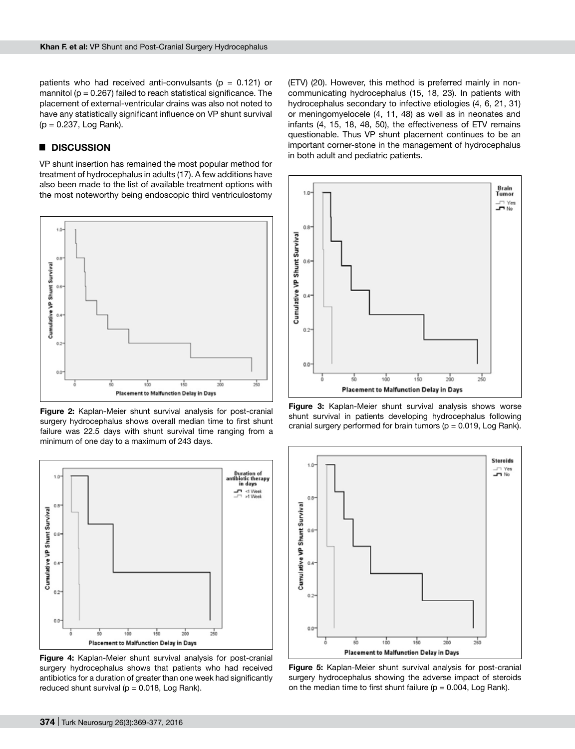patients who had received anti-convulsants ( $p = 0.121$ ) or mannitol ( $p = 0.267$ ) failed to reach statistical significance. The placement of external-ventricular drains was also not noted to have any statistically significant influence on VP shunt survival  $(p = 0.237,$  Log Rank).

## █ **Discussion**

VP shunt insertion has remained the most popular method for treatment of hydrocephalus in adults (17). A few additions have also been made to the list of available treatment options with the most noteworthy being endoscopic third ventriculostomy



**Figure 2:** Kaplan-Meier shunt survival analysis for post-cranial surgery hydrocephalus shows overall median time to first shunt failure was 22.5 days with shunt survival time ranging from a minimum of one day to a maximum of 243 days.



**Figure 4:** Kaplan-Meier shunt survival analysis for post-cranial surgery hydrocephalus shows that patients who had received antibiotics for a duration of greater than one week had significantly reduced shunt survival ( $p = 0.018$ , Log Rank).

(ETV) (20). However, this method is preferred mainly in noncommunicating hydrocephalus (15, 18, 23). In patients with hydrocephalus secondary to infective etiologies (4, 6, 21, 31) or meningomyelocele (4, 11, 48) as well as in neonates and infants (4, 15, 18, 48, 50), the effectiveness of ETV remains questionable. Thus VP shunt placement continues to be an important corner-stone in the management of hydrocephalus in both adult and pediatric patients.



**Figure 3:** Kaplan-Meier shunt survival analysis shows worse shunt survival in patients developing hydrocephalus following cranial surgery performed for brain tumors ( $p = 0.019$ , Log Rank).



**Figure 5:** Kaplan-Meier shunt survival analysis for post-cranial surgery hydrocephalus showing the adverse impact of steroids on the median time to first shunt failure ( $p = 0.004$ , Log Rank).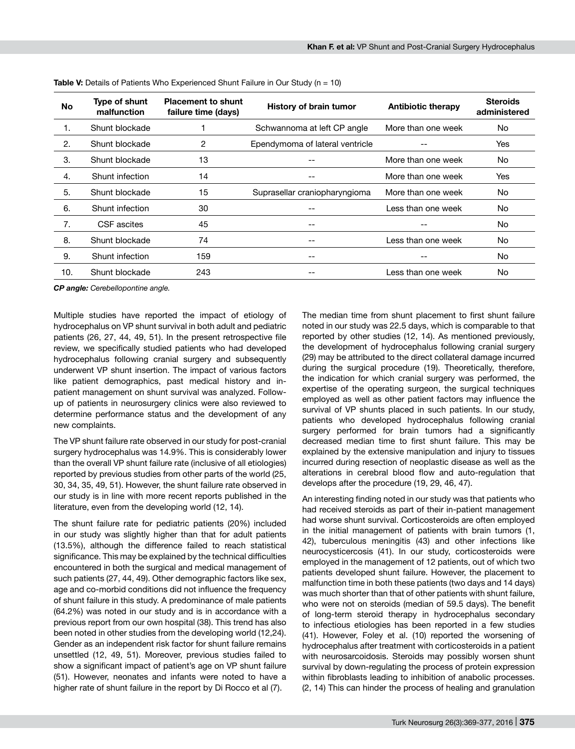| No  | Type of shunt<br>malfunction | <b>Placement to shunt</b><br>failure time (days) | <b>History of brain tumor</b>   | <b>Antibiotic therapy</b> | <b>Steroids</b><br>administered |
|-----|------------------------------|--------------------------------------------------|---------------------------------|---------------------------|---------------------------------|
| 1.  | Shunt blockade               |                                                  | Schwannoma at left CP angle     | More than one week        | No.                             |
| 2.  | Shunt blockade               | 2                                                | Ependymoma of lateral ventricle |                           | Yes                             |
| 3.  | Shunt blockade               | 13                                               |                                 | More than one week        | No.                             |
| 4.  | Shunt infection              | 14                                               | --                              | More than one week        | Yes                             |
| 5.  | Shunt blockade               | 15                                               | Suprasellar craniopharyngioma   | More than one week        | No.                             |
| 6.  | Shunt infection              | 30                                               |                                 | Less than one week        | No.                             |
| 7.  | CSF ascites                  | 45                                               | $- -$                           | --                        | No.                             |
| 8.  | Shunt blockade               | 74                                               | --                              | Less than one week        | No.                             |
| 9.  | Shunt infection              | 159                                              | --                              |                           | No.                             |
| 10. | Shunt blockade               | 243                                              | --                              | Less than one week        | No.                             |

**Table V:** Details of Patients Who Experienced Shunt Failure in Our Study (n = 10)

*CP angle: Cerebellopontine angle.*

Multiple studies have reported the impact of etiology of hydrocephalus on VP shunt survival in both adult and pediatric patients (26, 27, 44, 49, 51). In the present retrospective file review, we specifically studied patients who had developed hydrocephalus following cranial surgery and subsequently underwent VP shunt insertion. The impact of various factors like patient demographics, past medical history and inpatient management on shunt survival was analyzed. Followup of patients in neurosurgery clinics were also reviewed to determine performance status and the development of any new complaints.

The VP shunt failure rate observed in our study for post-cranial surgery hydrocephalus was 14.9%. This is considerably lower than the overall VP shunt failure rate (inclusive of all etiologies) reported by previous studies from other parts of the world (25, 30, 34, 35, 49, 51). However, the shunt failure rate observed in our study is in line with more recent reports published in the literature, even from the developing world (12, 14).

The shunt failure rate for pediatric patients (20%) included in our study was slightly higher than that for adult patients (13.5%), although the difference failed to reach statistical significance. This may be explained by the technical difficulties encountered in both the surgical and medical management of such patients (27, 44, 49). Other demographic factors like sex, age and co-morbid conditions did not influence the frequency of shunt failure in this study. A predominance of male patients (64.2%) was noted in our study and is in accordance with a previous report from our own hospital (38). This trend has also been noted in other studies from the developing world (12,24). Gender as an independent risk factor for shunt failure remains unsettled (12, 49, 51). Moreover, previous studies failed to show a significant impact of patient's age on VP shunt failure (51). However, neonates and infants were noted to have a higher rate of shunt failure in the report by Di Rocco et al (7).

The median time from shunt placement to first shunt failure noted in our study was 22.5 days, which is comparable to that reported by other studies (12, 14). As mentioned previously, the development of hydrocephalus following cranial surgery (29) may be attributed to the direct collateral damage incurred during the surgical procedure (19). Theoretically, therefore, the indication for which cranial surgery was performed, the expertise of the operating surgeon, the surgical techniques employed as well as other patient factors may influence the survival of VP shunts placed in such patients. In our study, patients who developed hydrocephalus following cranial surgery performed for brain tumors had a significantly decreased median time to first shunt failure. This may be explained by the extensive manipulation and injury to tissues incurred during resection of neoplastic disease as well as the alterations in cerebral blood flow and auto-regulation that develops after the procedure (19, 29, 46, 47).

An interesting finding noted in our study was that patients who had received steroids as part of their in-patient management had worse shunt survival. Corticosteroids are often employed in the initial management of patients with brain tumors (1, 42), tuberculous meningitis (43) and other infections like neurocysticercosis (41). In our study, corticosteroids were employed in the management of 12 patients, out of which two patients developed shunt failure. However, the placement to malfunction time in both these patients (two days and 14 days) was much shorter than that of other patients with shunt failure, who were not on steroids (median of 59.5 days). The benefit of long-term steroid therapy in hydrocephalus secondary to infectious etiologies has been reported in a few studies (41). However, Foley et al. (10) reported the worsening of hydrocephalus after treatment with corticosteroids in a patient with neurosarcoidosis. Steroids may possibly worsen shunt survival by down-regulating the process of protein expression within fibroblasts leading to inhibition of anabolic processes. (2, 14) This can hinder the process of healing and granulation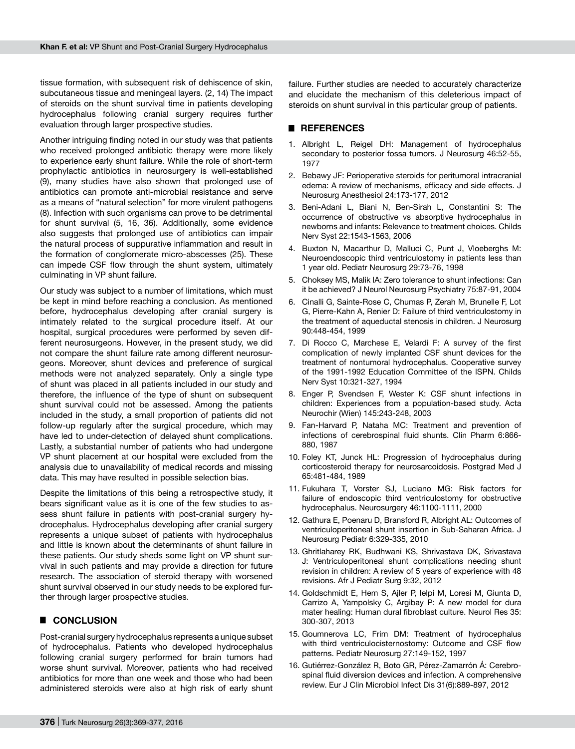tissue formation, with subsequent risk of dehiscence of skin, subcutaneous tissue and meningeal layers. (2, 14) The impact of steroids on the shunt survival time in patients developing hydrocephalus following cranial surgery requires further evaluation through larger prospective studies.

Another intriguing finding noted in our study was that patients who received prolonged antibiotic therapy were more likely to experience early shunt failure. While the role of short-term prophylactic antibiotics in neurosurgery is well-established (9), many studies have also shown that prolonged use of antibiotics can promote anti-microbial resistance and serve as a means of "natural selection" for more virulent pathogens (8). Infection with such organisms can prove to be detrimental for shunt survival (5, 16, 36). Additionally, some evidence also suggests that prolonged use of antibiotics can impair the natural process of suppurative inflammation and result in the formation of conglomerate micro-abscesses (25). These can impede CSF flow through the shunt system, ultimately culminating in VP shunt failure.

Our study was subject to a number of limitations, which must be kept in mind before reaching a conclusion. As mentioned before, hydrocephalus developing after cranial surgery is intimately related to the surgical procedure itself. At our hospital, surgical procedures were performed by seven different neurosurgeons. However, in the present study, we did not compare the shunt failure rate among different neurosurgeons. Moreover, shunt devices and preference of surgical methods were not analyzed separately. Only a single type of shunt was placed in all patients included in our study and therefore, the influence of the type of shunt on subsequent shunt survival could not be assessed. Among the patients included in the study, a small proportion of patients did not follow-up regularly after the surgical procedure, which may have led to under-detection of delayed shunt complications. Lastly, a substantial number of patients who had undergone VP shunt placement at our hospital were excluded from the analysis due to unavailability of medical records and missing data. This may have resulted in possible selection bias.

Despite the limitations of this being a retrospective study, it bears significant value as it is one of the few studies to assess shunt failure in patients with post-cranial surgery hydrocephalus. Hydrocephalus developing after cranial surgery represents a unique subset of patients with hydrocephalus and little is known about the determinants of shunt failure in these patients. Our study sheds some light on VP shunt survival in such patients and may provide a direction for future research. The association of steroid therapy with worsened shunt survival observed in our study needs to be explored further through larger prospective studies.

## █ **Conclusion**

Post-cranial surgery hydrocephalus represents a unique subset of hydrocephalus. Patients who developed hydrocephalus following cranial surgery performed for brain tumors had worse shunt survival. Moreover, patients who had received antibiotics for more than one week and those who had been administered steroids were also at high risk of early shunt

failure. Further studies are needed to accurately characterize and elucidate the mechanism of this deleterious impact of steroids on shunt survival in this particular group of patients.

## █ **References**

- 1. Albright L, Reigel DH: Management of hydrocephalus secondary to posterior fossa tumors. J Neurosurg 46:52-55, 1977
- 2. Bebawy JF: Perioperative steroids for peritumoral intracranial edema: A review of mechanisms, efficacy and side effects. J Neurosurg Anesthesiol 24:173-177, 2012
- 3. Beni-Adani L, Biani N, Ben-Sirah L, Constantini S: The occurrence of obstructive vs absorptive hydrocephalus in newborns and infants: Relevance to treatment choices. Childs Nerv Syst 22:1543-1563, 2006
- 4. Buxton N, Macarthur D, Malluci C, Punt J, Vloeberghs M: Neuroendoscopic third ventriculostomy in patients less than 1 year old. Pediatr Neurosurg 29:73-76, 1998
- 5. Choksey MS, Malik IA: Zero tolerance to shunt infections: Can it be achieved? J Neurol Neurosurg Psychiatry 75:87-91, 2004
- 6. Cinalli G, Sainte-Rose C, Chumas P, Zerah M, Brunelle F, Lot G, Pierre-Kahn A, Renier D: Failure of third ventriculostomy in the treatment of aqueductal stenosis in children. J Neurosurg 90:448-454, 1999
- 7. Di Rocco C, Marchese E, Velardi F: A survey of the first complication of newly implanted CSF shunt devices for the treatment of nontumoral hydrocephalus. Cooperative survey of the 1991-1992 Education Committee of the ISPN. Childs Nerv Syst 10:321-327, 1994
- 8. Enger P, Svendsen F, Wester K: CSF shunt infections in children: Experiences from a population-based study. Acta Neurochir (Wien) 145:243-248, 2003
- 9. Fan-Harvard P, Nataha MC: Treatment and prevention of infections of cerebrospinal fluid shunts. Clin Pharm 6:866- 880, 1987
- 10. Foley KT, Junck HL: Progression of hydrocephalus during corticosteroid therapy for neurosarcoidosis. Postgrad Med J 65:481-484, 1989
- 11. Fukuhara T, Vorster SJ, Luciano MG: Risk factors for failure of endoscopic third ventriculostomy for obstructive hydrocephalus. Neurosurgery 46:1100-1111, 2000
- 12. Gathura E, Poenaru D, Bransford R, Albright AL: Outcomes of ventriculoperitoneal shunt insertion in Sub-Saharan Africa. J Neurosurg Pediatr 6:329-335, 2010
- 13. Ghritlaharey RK, Budhwani KS, Shrivastava DK, Srivastava J: Ventriculoperitoneal shunt complications needing shunt revision in children: A review of 5 years of experience with 48 revisions. Afr J Pediatr Surg 9:32, 2012
- 14. Goldschmidt E, Hem S, Ajler P, Ielpi M, Loresi M, Giunta D, Carrizo A, Yampolsky C, Argibay P: A new model for dura mater healing: Human dural fibroblast culture. Neurol Res 35: 300-307, 2013
- 15. Goumnerova LC, Frim DM: Treatment of hydrocephalus with third ventriculocisternostomy: Outcome and CSF flow patterns. Pediatr Neurosurg 27:149-152, 1997
- 16. Gutiérrez-González R, Boto GR, Pérez-Zamarrón Á: Cerebrospinal fluid diversion devices and infection. A comprehensive review. Eur J Clin Microbiol Infect Dis 31(6):889-897, 2012